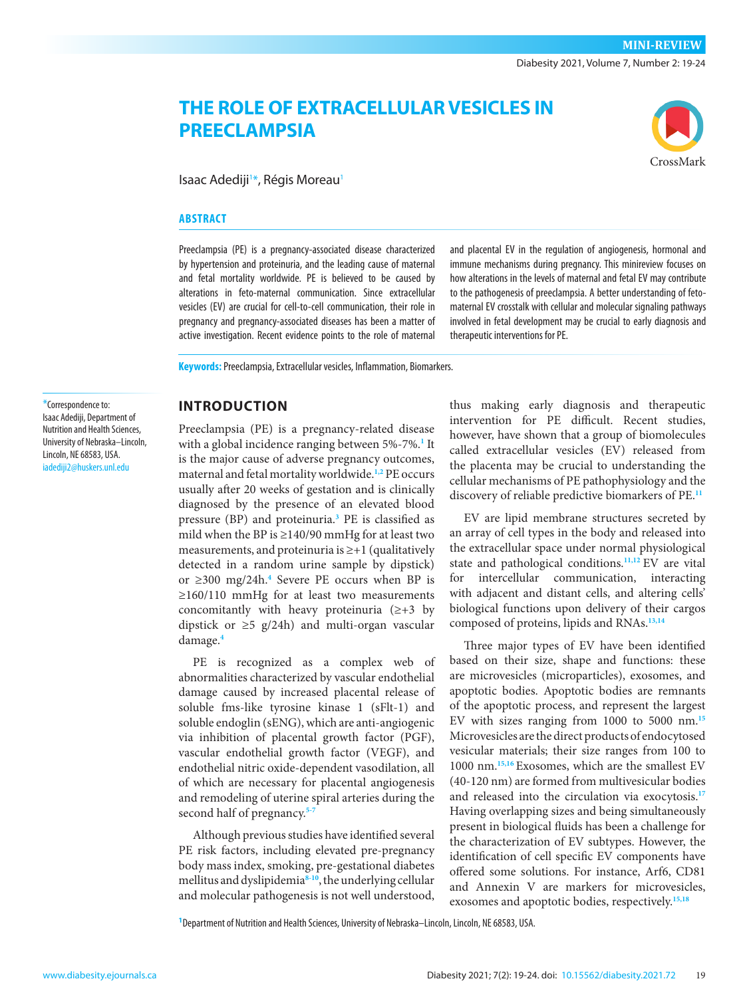# **THE ROLE OF EXTRACELLULAR VESICLES IN PREECLAMPSIA**

Isaac Adediji<sup>1\*</sup>, Régis Moreau<sup>1</sup>

#### **ABSTRACT**

Preeclampsia (PE) is a pregnancy-associated disease characterized by hypertension and proteinuria, and the leading cause of maternal and fetal mortality worldwide. PE is believed to be caused by alterations in feto-maternal communication. Since extracellular vesicles (EV) are crucial for cell-to-cell communication, their role in pregnancy and pregnancy-associated diseases has been a matter of active investigation. Recent evidence points to the role of maternal and placental EV in the regulation of angiogenesis, hormonal and immune mechanisms during pregnancy. This minireview focuses on how alterations in the levels of maternal and fetal EV may contribute to the pathogenesis of preeclampsia. A better understanding of fetomaternal EV crosstalk with cellular and molecular signaling pathways involved in fetal development may be crucial to early diagnosis and therapeutic interventions for PE.

**Keywords:** Preeclampsia, Extracellular vesicles, Inflammation, Biomarkers.

#### \*Correspondence to: Isaac Adediji, Department of Nutrition and Health Sciences, University of Nebraska–Lincoln, Lincoln, NE 68583, USA.

[iadediji2@huskers.unl.edu](mailto:iadediji2@huskers.unl.edu)

#### **INTRODUCTION**

Preeclampsia (PE) is a pregnancy-related disease with a global incidence ranging between 5%-7%.**[1](#page-3-0)** It is the major cause of adverse pregnancy outcomes, maternal and fetal mortality worldwide.**[1,](#page-3-0)[2](#page-3-1)** PE occurs usually after 20 weeks of gestation and is clinically diagnosed by the presence of an elevated blood pressure (BP) and proteinuria.**[3](#page-3-2)** PE is classified as mild when the BP is  $\geq$ 140/90 mmHg for at least two measurements, and proteinuria is ≥+1 (qualitatively detected in a random urine sample by dipstick) or ≥300 mg/24h.**[4](#page-3-3)** Severe PE occurs when BP is ≥160/110 mmHg for at least two measurements concomitantly with heavy proteinuria  $(\geq +3)$  by dipstick or ≥5 g/24h) and multi-organ vascular damage.**[4](#page-3-3)**

PE is recognized as a complex web of abnormalities characterized by vascular endothelial damage caused by increased placental release of soluble fms-like tyrosine kinase 1 (sFlt-1) and soluble endoglin (sENG), which are anti-angiogenic via inhibition of placental growth factor (PGF), vascular endothelial growth factor (VEGF), and endothelial nitric oxide-dependent vasodilation, all of which are necessary for placental angiogenesis and remodeling of uterine spiral arteries during the second half of pregnancy.**[5](#page-3-4)[-7](#page-3-5)**

Although previous studies have identified several PE risk factors, including elevated pre-pregnancy body mass index, smoking, pre-gestational diabetes mellitus and dyslipidemia**[8-](#page-3-6)[10](#page-3-7)**, the underlying cellular and molecular pathogenesis is not well understood,

thus making early diagnosis and therapeutic intervention for PE difficult. Recent studies, however, have shown that a group of biomolecules called extracellular vesicles (EV) released from the placenta may be crucial to understanding the cellular mechanisms of PE pathophysiology and the discovery of reliable predictive biomarkers of PE.**[11](#page-3-8)**

EV are lipid membrane structures secreted by an array of cell types in the body and released into the extracellular space under normal physiological state and pathological conditions.**[11](#page-3-8),[12](#page-3-9)** EV are vital for intercellular communication, interacting with adjacent and distant cells, and altering cells' biological functions upon delivery of their cargos composed of proteins, lipids and RNAs.**[13](#page-3-10),[14](#page-3-11)**

Three major types of EV have been identified based on their size, shape and functions: these are microvesicles (microparticles), exosomes, and apoptotic bodies. Apoptotic bodies are remnants of the apoptotic process, and represent the largest EV with sizes ranging from 1000 to 5000 nm.**[15](#page-3-12)** Microvesicles are the direct products of endocytosed vesicular materials; their size ranges from 100 to 1000 nm.**[15](#page-3-12),[16](#page-4-0)** Exosomes, which are the smallest EV (40-120 nm) are formed from multivesicular bodies and released into the circulation via exocytosis.**[17](#page-4-1)** Having overlapping sizes and being simultaneously present in biological fluids has been a challenge for the characterization of EV subtypes. However, the identification of cell specific EV components have offered some solutions. For instance, Arf6, CD81 and Annexin V are markers for microvesicles, exosomes and apoptotic bodies, respectively.**[15](#page-3-12)[,18](#page-4-2)**

**1** Department of Nutrition and Health Sciences, University of Nebraska–Lincoln, Lincoln, NE 68583, USA.

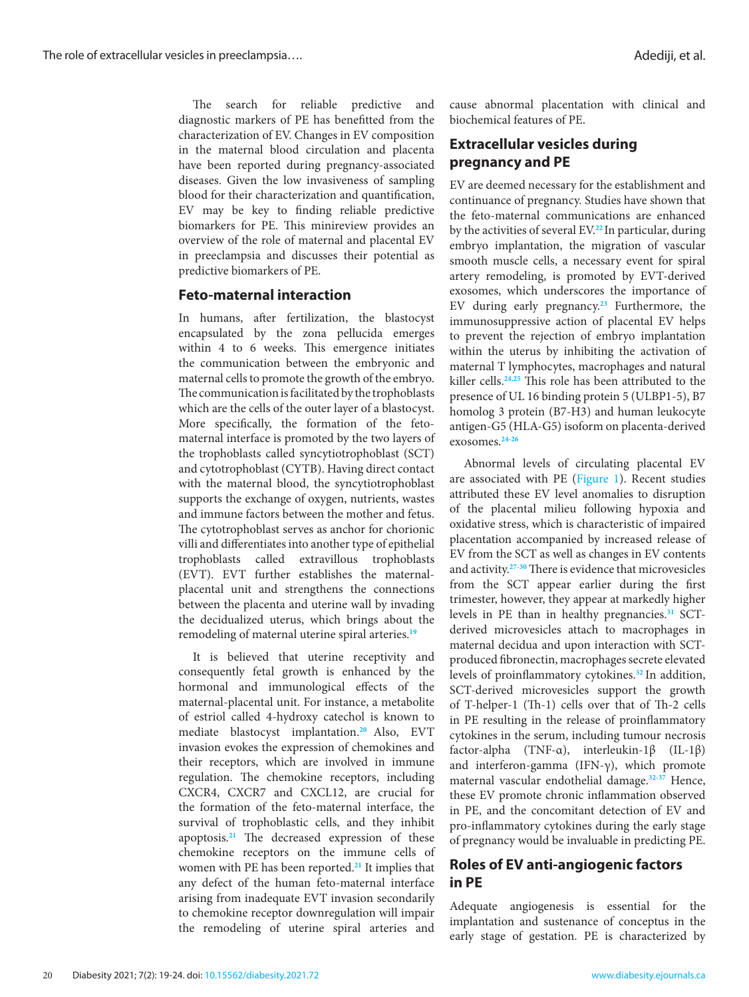The search for reliable predictive and diagnostic markers of PE has benefitted from the characterization of EV. Changes in EV composition in the maternal blood circulation and placenta have been reported during pregnancy-associated diseases. Given the low invasiveness of sampling blood for their characterization and quantification, EV may be key to finding reliable predictive biomarkers for PE. This minireview provides an overview of the role of maternal and placental EV in preeclampsia and discusses their potential as predictive biomarkers of PE.

### **Feto-maternal interaction**

In humans, after fertilization, the blastocyst encapsulated by the zona pellucida emerges within 4 to 6 weeks. This emergence initiates the communication between the embryonic and maternal cells to promote the growth of the embryo. The communication is facilitated by the trophoblasts which are the cells of the outer layer of a blastocyst. More specifically, the formation of the fetomaternal interface is promoted by the two layers of the trophoblasts called syncytiotrophoblast (SCT) and cytotrophoblast (CYTB). Having direct contact with the maternal blood, the syncytiotrophoblast supports the exchange of oxygen, nutrients, wastes and immune factors between the mother and fetus. The cytotrophoblast serves as anchor for chorionic villi and differentiates into another type of epithelial trophoblasts called extravillous trophoblasts (EVT). EVT further establishes the maternalplacental unit and strengthens the connections between the placenta and uterine wall by invading the decidualized uterus, which brings about the remodeling of maternal uterine spiral arteries.**[19](#page-4-3)**

It is believed that uterine receptivity and consequently fetal growth is enhanced by the hormonal and immunological effects of the maternal-placental unit. For instance, a metabolite of estriol called 4-hydroxy catechol is known to mediate blastocyst implantation.**[20](#page-4-4)** Also, EVT invasion evokes the expression of chemokines and their receptors, which are involved in immune regulation. The chemokine receptors, including CXCR4, CXCR7 and CXCL12, are crucial for the formation of the feto-maternal interface, the survival of trophoblastic cells, and they inhibit apoptosis.**[21](#page-4-5)** The decreased expression of these chemokine receptors on the immune cells of women with PE has been reported.**[21](#page-4-5)** It implies that any defect of the human feto-maternal interface arising from inadequate EVT invasion secondarily to chemokine receptor downregulation will impair the remodeling of uterine spiral arteries and

cause abnormal placentation with clinical and biochemical features of PE.

# **Extracellular vesicles during pregnancy and PE**

EV are deemed necessary for the establishment and continuance of pregnancy. Studies have shown that the feto-maternal communications are enhanced by the activities of several EV.**[22](#page-4-6)** In particular, during embryo implantation, the migration of vascular smooth muscle cells, a necessary event for spiral artery remodeling, is promoted by EVT-derived exosomes, which underscores the importance of EV during early pregnancy.**[23](#page-4-7)** Furthermore, the immunosuppressive action of placental EV helps to prevent the rejection of embryo implantation within the uterus by inhibiting the activation of maternal T lymphocytes, macrophages and natural killer cells.**[24](#page-4-8)[,25](#page-4-9)** This role has been attributed to the presence of UL 16 binding protein 5 (ULBP1-5), B7 homolog 3 protein (B7-H3) and human leukocyte antigen-G5 (HLA-G5) isoform on placenta-derived exosomes.**[24-](#page-4-8)[26](#page-4-10)**

Abnormal levels of circulating placental EV are associated with PE ([Figure 1\)](#page-2-0). Recent studies attributed these EV level anomalies to disruption of the placental milieu following hypoxia and oxidative stress, which is characteristic of impaired placentation accompanied by increased release of EV from the SCT as well as changes in EV contents and activity.**[27](#page-4-11)[-30](#page-4-12)** There is evidence that microvesicles from the SCT appear earlier during the first trimester, however, they appear at markedly higher levels in PE than in healthy pregnancies.**[31](#page-4-13)** SCTderived microvesicles attach to macrophages in maternal decidua and upon interaction with SCTproduced fibronectin, macrophages secrete elevated levels of proinflammatory cytokines.**[32](#page-4-14)** In addition, SCT-derived microvesicles support the growth of T-helper-1 (Th-1) cells over that of Th-2 cells in PE resulting in the release of proinflammatory cytokines in the serum, including tumour necrosis factor-alpha (TNF-α), interleukin-1β (IL-1β) and interferon-gamma (IFN- $\gamma$ ), which promote maternal vascular endothelial damage.**[32-](#page-4-14)[37](#page-4-15)** Hence, these EV promote chronic inflammation observed in PE, and the concomitant detection of EV and pro-inflammatory cytokines during the early stage of pregnancy would be invaluable in predicting PE.

# **Roles of EV anti-angiogenic factors in PE**

Adequate angiogenesis is essential for the implantation and sustenance of conceptus in the early stage of gestation. PE is characterized by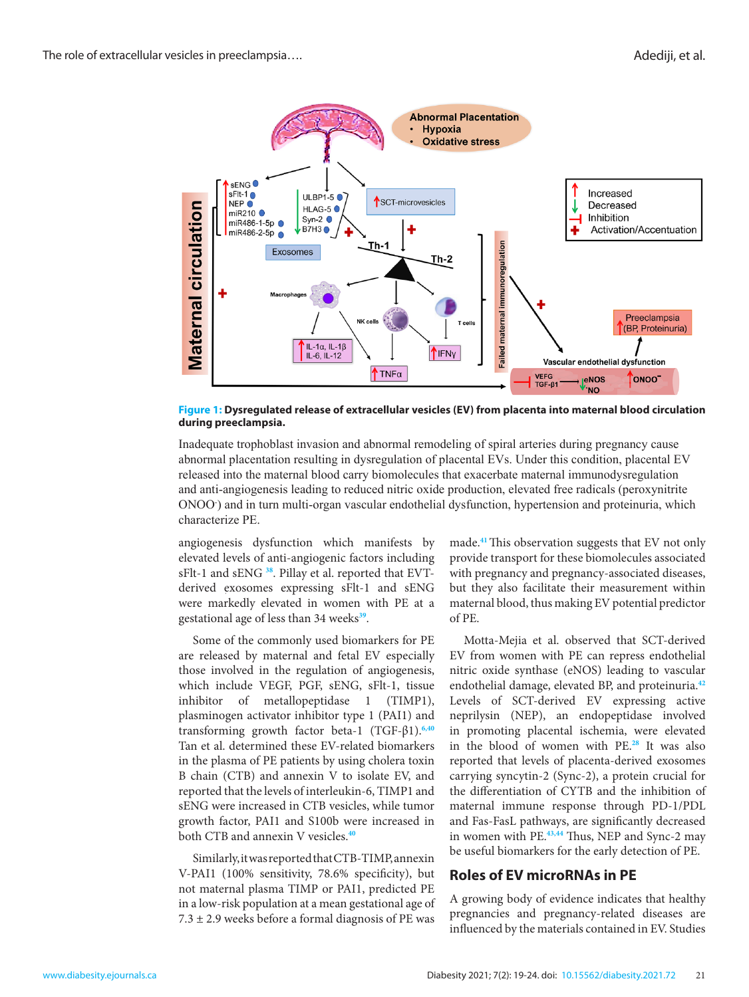<span id="page-2-0"></span>

**Figure 1: Dysregulated release of extracellular vesicles (EV) from placenta into maternal blood circulation during preeclampsia.**

Inadequate trophoblast invasion and abnormal remodeling of spiral arteries during pregnancy cause abnormal placentation resulting in dysregulation of placental EVs. Under this condition, placental EV released into the maternal blood carry biomolecules that exacerbate maternal immunodysregulation and anti-angiogenesis leading to reduced nitric oxide production, elevated free radicals (peroxynitrite ONOO- ) and in turn multi-organ vascular endothelial dysfunction, hypertension and proteinuria, which characterize PE.

 derived exosomes expressing sFlt-1 and sENG angiogenesis dysfunction which manifests by elevated levels of anti-angiogenic factors including sFlt-1 and sENG **[38](#page-4-16)**. Pillay et al. reported that EVTwere markedly elevated in women with PE at a gestational age of less than 34 weeks**[39](#page-4-17)**.

Some of the commonly used biomarkers for PE are released by maternal and fetal EV especially those involved in the regulation of angiogenesis, which include VEGF, PGF, sENG, sFlt-1, tissue inhibitor of metallopeptidase 1 (TIMP1), plasminogen activator inhibitor type 1 (PAI1) and transforming growth factor beta-1 (TGF-β1).**[6](#page-3-13),[40](#page-4-18)** Tan et al. determined these EV-related biomarkers in the plasma of PE patients by using cholera toxin B chain (CTB) and annexin V to isolate EV, and reported that the levels of interleukin-6, TIMP1 and sENG were increased in CTB vesicles, while tumor growth factor, PAI1 and S100b were increased in both CTB and annexin V vesicles.**[40](#page-4-18)**

Similarly, it was reported that CTB-TIMP, annexin V-PAI1 (100% sensitivity, 78.6% specificity), but not maternal plasma TIMP or PAI1, predicted PE in a low-risk population at a mean gestational age of  $7.3 \pm 2.9$  weeks before a formal diagnosis of PE was

made.**[41](#page-4-19)**This observation suggests that EV not only provide transport for these biomolecules associated with pregnancy and pregnancy-associated diseases, but they also facilitate their measurement within maternal blood, thus making EV potential predictor of PE.

Motta-Mejia et al. observed that SCT-derived EV from women with PE can repress endothelial nitric oxide synthase (eNOS) leading to vascular endothelial damage, elevated BP, and proteinuria.**[42](#page-4-20)** Levels of SCT-derived EV expressing active neprilysin (NEP), an endopeptidase involved in promoting placental ischemia, were elevated in the blood of women with PE.**[28](#page-4-21)** It was also reported that levels of placenta-derived exosomes carrying syncytin-2 (Sync-2), a protein crucial for the differentiation of CYTB and the inhibition of maternal immune response through PD-1/PDL and Fas-FasL pathways, are significantly decreased in women with PE.**[43](#page-4-22)[,44](#page-4-23)** Thus, NEP and Sync-2 may be useful biomarkers for the early detection of PE.

## **Roles of EV microRNAs in PE**

A growing body of evidence indicates that healthy pregnancies and pregnancy-related diseases are influenced by the materials contained in EV. Studies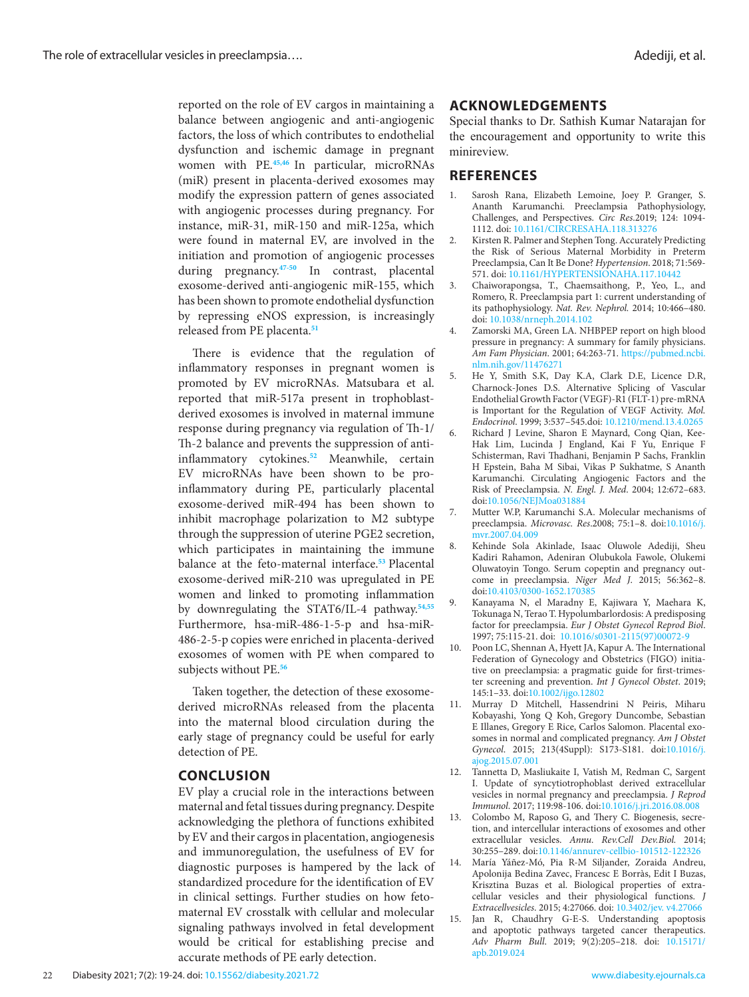reported on the role of EV cargos in maintaining a balance between angiogenic and anti-angiogenic factors, the loss of which contributes to endothelial dysfunction and ischemic damage in pregnant women with PE.**[45](#page-5-0)[,46](#page-5-1)** In particular, microRNAs (miR) present in placenta-derived exosomes may modify the expression pattern of genes associated with angiogenic processes during pregnancy. For instance, miR-31, miR-150 and miR-125a, which were found in maternal EV, are involved in the initiation and promotion of angiogenic processes during pregnancy.**[47](#page-5-2)[-50](#page-5-3)** In contrast, placental exosome-derived anti-angiogenic miR-155, which has been shown to promote endothelial dysfunction by repressing eNOS expression, is increasingly released from PE placenta.**[51](#page-5-4)**

There is evidence that the regulation of inflammatory responses in pregnant women is promoted by EV microRNAs. Matsubara et al. reported that miR-517a present in trophoblastderived exosomes is involved in maternal immune response during pregnancy via regulation of Th-1/ Th-2 balance and prevents the suppression of antiinflammatory cytokines.**[52](#page-5-5)** Meanwhile, certain EV microRNAs have been shown to be proinflammatory during PE, particularly placental exosome-derived miR-494 has been shown to inhibit macrophage polarization to M2 subtype through the suppression of uterine PGE2 secretion, which participates in maintaining the immune balance at the feto-maternal interface.**[53](#page-5-6)** Placental exosome-derived miR-210 was upregulated in PE women and linked to promoting inflammation by downregulating the STAT6/IL-4 pathway.**[54](#page-5-7),[55](#page-5-8)** Furthermore, hsa-miR-486-1-5-p and hsa-miR-486-2-5-p copies were enriched in placenta-derived exosomes of women with PE when compared to subjects without PE.**[56](#page-5-9)**

Taken together, the detection of these exosomederived microRNAs released from the placenta into the maternal blood circulation during the early stage of pregnancy could be useful for early detection of PE.

### **CONCLUSION**

EV play a crucial role in the interactions between maternal and fetal tissues during pregnancy. Despite acknowledging the plethora of functions exhibited by EV and their cargos in placentation, angiogenesis and immunoregulation, the usefulness of EV for diagnostic purposes is hampered by the lack of standardized procedure for the identification of EV in clinical settings. Further studies on how fetomaternal EV crosstalk with cellular and molecular signaling pathways involved in fetal development would be critical for establishing precise and accurate methods of PE early detection.

### **ACKNOWLEDGEMENTS**

Special thanks to Dr. Sathish Kumar Natarajan for the encouragement and opportunity to write this minireview.

### **REFERENCES**

- <span id="page-3-0"></span>1. Sarosh Rana, Elizabeth Lemoine, Joey P. Granger, S. Ananth Karumanchi. Preeclampsia Pathophysiology, Challenges, and Perspectives. *Circ Res*.2019; 124: 1094- 1112. doi: 10.1161/CIRCRESAHA.118.313276
- <span id="page-3-1"></span>2. Kirsten R. Palmer and Stephen Tong. Accurately Predicting the Risk of Serious Maternal Morbidity in Preterm Preeclampsia, Can It Be Done? *Hypertension*. 2018; 71:569- 571. doi: 10.1161/HYPERTENSIONAHA.117.10442
- <span id="page-3-2"></span>3. Chaiworapongsa, T., Chaemsaithong, P., Yeo, L., and Romero, R. Preeclampsia part 1: current understanding of its pathophysiology. *Nat. Rev. Nephrol.* 2014; 10:466–480. doi: [10.1038/nrneph.2014.102](https://dx.doi.org/10.1038%2Fnrneph.2014.102)
- <span id="page-3-3"></span>4. Zamorski MA, Green LA. NHBPEP report on high blood pressure in pregnancy: A summary for family physicians. *Am Fam Physician*. 2001; 64:263-71. [https://pubmed.ncbi.](https://pubmed.ncbi.nlm.nih.gov/11476271) [nlm.nih.gov/11476271](https://pubmed.ncbi.nlm.nih.gov/11476271)
- <span id="page-3-4"></span>5. He Y, Smith S.K, Day K.A, Clark D.E, Licence D.R, Charnock-Jones D.S. Alternative Splicing of Vascular Endothelial Growth Factor (VEGF)-R1 (FLT-1) pre-mRNA is Important for the Regulation of VEGF Activity. *Mol. Endocrinol*. 1999; 3:537–545.doi: [10.1210/mend.13.4.0265](https://doi.org/10.1210/mend.13.4.0265)
- <span id="page-3-13"></span>6. Richard J Levine, Sharon E Maynard, Cong Qian, Kee-Hak Lim, Lucinda J England, Kai F Yu, Enrique F Schisterman, Ravi Thadhani, Benjamin P Sachs, Franklin H Epstein, Baha M Sibai, Vikas P Sukhatme, S Ananth Karumanchi. Circulating Angiogenic Factors and the Risk of Preeclampsia. *N. Engl. J. Med*. 2004; 12:672–683. doi:[10.1056/NEJMoa031884](https://doi.org/10.1056/nejmoa031884)
- <span id="page-3-5"></span>7. Mutter W.P, Karumanchi S.A. Molecular mechanisms of preeclampsia. *Microvasc. Res*.2008; 75:1–8. doi:[10.1016/j.](https://doi.org/10.1016/j.mvr.2007.04.009) [mvr.2007.04.009](https://doi.org/10.1016/j.mvr.2007.04.009)
- <span id="page-3-6"></span>8. Kehinde Sola Akinlade, Isaac Oluwole Adediji, Sheu Kadiri Rahamon, Adeniran Olubukola Fawole, Olukemi Oluwatoyin Tongo. Serum copeptin and pregnancy outcome in preeclampsia. *Niger Med J*. 2015; 56:362–8. doi:[10.4103/0300-1652.170385](https://dx.doi.org/10.4103%2F0300-1652.170385)
- 9. Kanayama N, el Maradny E, Kajiwara Y, Maehara K, Tokunaga N, Terao T. Hypolumbarlordosis: A predisposing factor for preeclampsia. *Eur J Obstet Gynecol Reprod Biol*. 1997; 75:115-21. doi: [10.1016/s0301-2115\(97\)00072-9](https://doi.org/10.1016/s0301-2115(97)00072-9)
- <span id="page-3-7"></span>10. Poon LC, Shennan A, Hyett JA, Kapur A. The International Federation of Gynecology and Obstetrics (FIGO) initiative on preeclampsia: a pragmatic guide for first-trimester screening and prevention. *Int J Gynecol Obstet*. 2019; 145:1–33. doi[:10.1002/ijgo.12802](https://dx.doi.org/10.1002%2Fijgo.12802)
- <span id="page-3-8"></span>11. Murray D Mitchell, Hassendrini N Peiris, Miharu Kobayashi, Yong Q Koh, Gregory Duncombe, Sebastian E Illanes, Gregory E Rice, Carlos Salomon. Placental exosomes in normal and complicated pregnancy. *Am J Obstet Gynecol*. 2015; 213(4Suppl): S173-S181. doi:[10.1016/j.](https://doi.org/10.1016/j.ajog.2015.07.001) [ajog.2015.07.001](https://doi.org/10.1016/j.ajog.2015.07.001)
- <span id="page-3-9"></span>12. Tannetta D, Masliukaite I, Vatish M, Redman C, Sargent I. Update of syncytiotrophoblast derived extracellular vesicles in normal pregnancy and preeclampsia. *J Reprod Immunol*. 2017; 119:98-106. doi[:10.1016/j.jri.2016.08.008](https://doi.org/10.1016/j.jri.2016.08.008)
- <span id="page-3-10"></span>13. Colombo M, Raposo G, and Thery C. Biogenesis, secretion, and intercellular interactions of exosomes and other extracellular vesicles. *Annu. Rev.Cell Dev.Biol.* 2014; 30:255–289. doi[:10.1146/annurev-cellbio-101512-122326](http://10.1146/annurev-cellbio-101512-122326)
- <span id="page-3-11"></span>14. María Yáñez-Mó, Pia R-M Siljander, Zoraida Andreu, Apolonija Bedina Zavec, Francesc E Borràs, Edit I Buzas, Krisztina Buzas et al. Biological properties of extracellular vesicles and their physiological functions. *J Extracellvesicles*. 2015; 4:27066. doi: [10.3402/jev. v4.27066](https://doi.org/10.3402/jev.v4.27066)
- <span id="page-3-12"></span>15. Jan R, Chaudhry G-E-S. Understanding apoptosis and apoptotic pathways targeted cancer therapeutics. *Adv Pharm Bull*. 2019; 9(2):205–218. doi: [10.15171/](https://doi.org/10.15171/apb.2019.024) [apb.2019.024](https://doi.org/10.15171/apb.2019.024)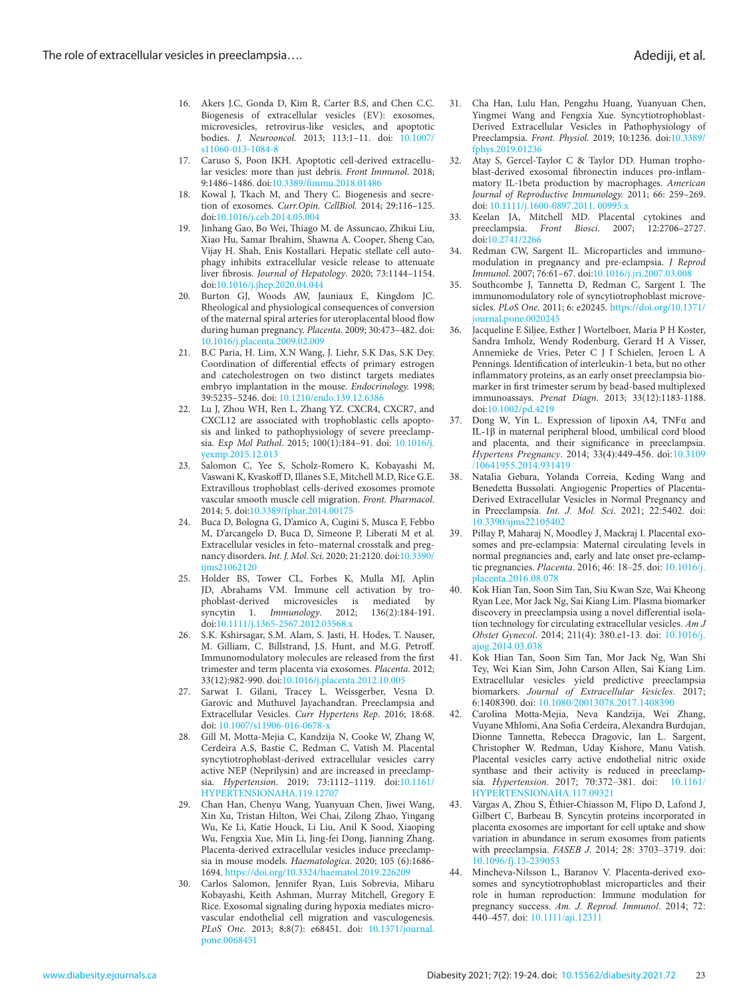- <span id="page-4-0"></span>16. Akers J.C, Gonda D, Kim R, Carter B.S, and Chen C.C. Biogenesis of extracellular vesicles (EV): exosomes, microvesicles, retrovirus-like vesicles, and apoptotic bodies. *J. Neurooncol.* 2013; 113:1–11. doi: [10.1007/](https://doi.org/10.1007/s11060-013-1084-8) [s11060-013-1084-8](https://doi.org/10.1007/s11060-013-1084-8)
- <span id="page-4-1"></span>17. Caruso S, Poon IKH. Apoptotic cell-derived extracellular vesicles: more than just debris. *Front Immunol*. 2018; 9:1486–1486. doi[:10.3389/fimmu.2018.01486](https://doi.org/10.3389/fimmu.2018.01486)
- <span id="page-4-2"></span>18. Kowal J, Tkach M, and Thery C. Biogenesis and secretion of exosomes. *Curr.Opin. CellBiol.* 2014; 29:116–125. doi[:10.1016/j.ceb.2014.05.004](https://doi.org/10.1016/j.ceb.2014.05.004)
- <span id="page-4-3"></span>19. Jinhang Gao, Bo Wei, Thiago M. de Assuncao, Zhikui Liu, Xiao Hu, Samar Ibrahim, Shawna A. Cooper, Sheng Cao, Vijay H. Shah, Enis Kostallari. Hepatic stellate cell autophagy inhibits extracellular vesicle release to attenuate liver fibrosis. *Journal of Hepatology*. 2020; 73:1144–1154. doi[:10.1016/j.jhep.2020.04.044](https://doi.org/10.1016/j.jhep.2020.04.044)
- <span id="page-4-4"></span>20. Burton GJ, Woods AW, Jauniaux E, Kingdom JC. Rheological and physiological consequences of conversion of the maternal spiral arteries for uteroplacental blood flow during human pregnancy. *Placenta*. 2009; 30:473–482. doi: [10.1016/j.placenta.2009.02.009](https://dx.doi.org/10.1016%2Fj.placenta.2009.02.009)
- <span id="page-4-5"></span>21. B.C Paria, H. Lim, X.N Wang, J. Liehr, S.K Das, S.K Dey. Coordination of differential effects of primary estrogen and catecholestrogen on two distinct targets mediates embryo implantation in the mouse. *Endocrinology.* 1998; 39:5235–5246. doi: [10.1210/endo.139.12.6386](https://doi.org/10.1210/endo.139.12.6386)
- <span id="page-4-6"></span>22. Lu J, Zhou WH, Ren L, Zhang YZ. CXCR4, CXCR7, and CXCL12 are associated with trophoblastic cells apoptosis and linked to pathophysiology of severe preeclampsia. *Exp Mol Pathol*. 2015; 100(1):184–91. doi: [10.1016/j.](https://doi.org/10.1016/j.yexmp.2015.12.013) [yexmp.2015.12.013](https://doi.org/10.1016/j.yexmp.2015.12.013)
- <span id="page-4-7"></span>23. Salomon C, Yee S, Scholz-Romero K, Kobayashi M, Vaswani K, Kvaskoff D, Illanes S.E, Mitchell M.D, Rice G.E. Extravillous trophoblast cells-derived exosomes promote vascular smooth muscle cell migration. *Front. Pharmacol*. 2014; 5. doi:[10.3389/fphar.2014.00175](https://dx.doi.org/10.3389%2Ffphar.2014.00175)
- <span id="page-4-8"></span>24. Buca D, Bologna G, D'amico A, Cugini S, Musca F, Febbo M, D'arcangelo D, Buca D, Simeone P, Liberati M et al. Extracellular vesicles in feto–maternal crosstalk and pregnancy disorders. *Int. J. Mol. Sci*. 2020; 21:2120. doi[:10.3390/](https://dx.doi.org/10.3390%2Fijms21062120) iims21062120
- <span id="page-4-9"></span>25. Holder BS, Tower CL, Forbes K, Mulla MJ, Aplin JD, Abrahams VM. Immune cell activation by trophoblast-derived microvesicles is mediated by syncytin 1. *Immunology*. 2012; 136(2):184-191. doi[:10.1111/j.1365-2567.2012.03568.x](https://doi.org/10.1111/j.1365-2567.2012.03568.x)
- <span id="page-4-10"></span>26. S.K. Kshirsagar, S.M. Alam, S. Jasti, H. Hodes, T. Nauser, M. Gilliam, C. Billstrand, J.S. Hunt, and M.G. Petroff. Immunomodulatory molecules are released from the first trimester and term placenta via exosomes. *Placenta*. 2012; 33(12):982-990. doi[:10.1016/j.placenta.2012.10.005](https://dx.doi.org/10.1016%2Fj.placenta.2012.10.005)
- <span id="page-4-11"></span>27. Sarwat I. Gilani, Tracey L. Weissgerber, Vesna D. Garovic and Muthuvel Jayachandran. Preeclampsia and Extracellular Vesicles. *Curr Hypertens Rep*. 2016; 18:68. doi: [10.1007/s11906-016-0678-x](https://doi.org/10.1007/s11906-016-0678-x)
- <span id="page-4-21"></span>28. Gill M, Motta-Mejia C, Kandzija N, Cooke W, Zhang W, Cerdeira A.S, Bastie C, Redman C, Vatish M. Placental syncytiotrophoblast-derived extracellular vesicles carry active NEP (Neprilysin) and are increased in preeclampsia. *Hypertension*. 2019; 73:1112–1119. doi[:10.1161/](https://doi.org/10.1161/hypertensionaha.119.12707) [HYPERTENSIONAHA.119.12707](https://doi.org/10.1161/hypertensionaha.119.12707)
- 29. Chan Han, Chenyu Wang, Yuanyuan Chen, Jiwei Wang, Xin Xu, Tristan Hilton, Wei Chai, Zilong Zhao, Yingang Wu, Ke Li, Katie Houck, Li Liu, Anil K Sood, Xiaoping Wu, Fengxia Xue, Min Li, Jing-fei Dong, Jianning Zhang. Placenta-derived extracellular vesicles induce preeclampsia in mouse models. *Haematologica*. 2020; 105 (6):1686- 1694.<https://doi.org/10.3324/haematol.2019.226209>
- <span id="page-4-12"></span>30. Carlos Salomon, Jennifer Ryan, Luis Sobrevia, Miharu Kobayashi, Keith Ashman, Murray Mitchell, Gregory E Rice. Exosomal signaling during hypoxia mediates microvascular endothelial cell migration and vasculogenesis. *PLoS One*. 2013; 8;8(7): e68451. doi: [10.1371/journal.](https://doi.org/10.1371/journal.pone.0068451) [pone.0068451](https://doi.org/10.1371/journal.pone.0068451)
- <span id="page-4-13"></span>31. Cha Han, Lulu Han, Pengzhu Huang, Yuanyuan Chen, Yingmei Wang and Fengxia Xue. Syncytiotrophoblast-Derived Extracellular Vesicles in Pathophysiology of Preeclampsia. *Front. Physiol.* 2019; 10:1236. doi:[10.3389/](https://doi.org/10.3389/fphys.2019.01236) [fphys.2019.01236](https://doi.org/10.3389/fphys.2019.01236)
- <span id="page-4-14"></span>32. Atay S, Gercel-Taylor C & Taylor DD. Human trophoblast-derived exosomal fibronectin induces pro-inflammatory IL-1beta production by macrophages. *American Journal of Reproductive Immunology.* 2011; 66: 259–269. doi: [10.1111/j.1600-0897.2011. 00995.x](https://doi.org/10.1111/j.1600-0897.2011.00995.x)
- 33. Keelan JA, Mitchell MD. Placental cytokines and preeclampsia. *Front Biosci*. 2007; 12:2706–2727. doi:[10.2741/2266](https://doi.org/10.2741/2266)
- 34. Redman CW, Sargent IL. Microparticles and immunomodulation in pregnancy and pre-eclampsia. *J Reprod Immunol*. 2007; 76:61–67. doi:[10.1016/j.jri.2007.03.008](https://doi.org/10.1016/j.jri.2007.03.008)
- 35. Southcombe J, Tannetta D, Redman C, Sargent I. The immunomodulatory role of syncytiotrophoblast microvesicles. *PLoS One*. 2011; 6: e20245. [https://doi.org/10.1371/](https://doi.org/10.1371/journal.pone.0020245) [journal.pone.0020245](https://doi.org/10.1371/journal.pone.0020245)
- 36. Jacqueline E Siljee, Esther J Wortelboer, Maria P H Koster, Sandra Imholz, Wendy Rodenburg, Gerard H A Visser, Annemieke de Vries, Peter C J I Schielen, Jeroen L A Pennings. Identification of interleukin-1 beta, but no other inflammatory proteins, as an early onset preeclampsia biomarker in first trimester serum by bead-based multiplexed immunoassays. *Prenat Diagn*. 2013; 33(12):1183-1188. doi:[10.1002/pd.4219](https://doi.org/10.1002/pd.4219)
- <span id="page-4-15"></span>37. Dong W, Yin L. Expression of lipoxin A4, TNFα and IL-1β in maternal peripheral blood, umbilical cord blood and placenta, and their significance in preeclampsia. *Hypertens Pregnancy*. 2014; 33(4):449-456. doi[:10.3109](https://doi.org/10.3109/10641955.2014.931419) [/10641955.2014.931419](https://doi.org/10.3109/10641955.2014.931419)
- <span id="page-4-16"></span>38. Natalia Gebara, Yolanda Correia, Keding Wang and Benedetta Bussolati. Angiogenic Properties of Placenta-Derived Extracellular Vesicles in Normal Pregnancy and in Preeclampsia. *Int. J. Mol. Sci*. 2021; 22:5402. doi: [10.3390/ijms22105402](https://doi.org/10.3390/ijms22105402)
- <span id="page-4-17"></span>39. Pillay P, Maharaj N, Moodley J, Mackraj I. Placental exosomes and pre-eclampsia: Maternal circulating levels in normal pregnancies and, early and late onset pre-eclamptic pregnancies. *Placenta*. 2016; 46: 18–25. doi: [10.1016/j.](https://doi.org/10.1016/j.placenta.2016.08.078) [placenta.2016.08.078](https://doi.org/10.1016/j.placenta.2016.08.078)
- <span id="page-4-18"></span>40. Kok Hian Tan, Soon Sim Tan, Siu Kwan Sze, Wai Kheong Ryan Lee, Mor Jack Ng, Sai Kiang Lim. Plasma biomarker discovery in preeclampsia using a novel differential isolation technology for circulating extracellular vesicles. *Am J Obstet Gynecol*. 2014; 211(4): 380.e1-13. doi: [10.1016/j.](https://doi.org/10.1016/j.ajog.2014.03.038) [ajog.2014.03.038](https://doi.org/10.1016/j.ajog.2014.03.038)
- <span id="page-4-19"></span>41. Kok Hian Tan, Soon Sim Tan, Mor Jack Ng, Wan Shi Tey, Wei Kian Sim, John Carson Allen, Sai Kiang Lim. Extracellular vesicles yield predictive preeclampsia biomarkers. *Journal of Extracellular Vesicles.* 2017; 6:1408390. doi: [10.1080/20013078.2017.1408390](https://dx.doi.org/10.1080%2F20013078.2017.1408390)
- <span id="page-4-20"></span>Carolina Motta-Mejia, Neva Kandzija, Wei Zhang, Vuyane Mhlomi, Ana Sofia Cerdeira, Alexandra Burdujan, Dionne Tannetta, Rebecca Dragovic, Ian L. Sargent, Christopher W. Redman, Uday Kishore, Manu Vatish. Placental vesicles carry active endothelial nitric oxide synthase and their activity is reduced in preeclampsia. *Hypertension*. 2017; 70:372–381. doi: [10.1161/](https://dx.doi.org/10.1161%2FHYPERTENSIONAHA.117.09321) [HYPERTENSIONAHA.117.09321](https://dx.doi.org/10.1161%2FHYPERTENSIONAHA.117.09321)
- <span id="page-4-22"></span>43. Vargas A, Zhou S, Éthier-Chiasson M, Flipo D, Lafond J, Gilbert C, Barbeau B. Syncytin proteins incorporated in placenta exosomes are important for cell uptake and show variation in abundance in serum exosomes from patients with preeclampsia. *FASEB J*. 2014; 28: 3703–3719. doi: [10.1096/fj.13-239053](https://doi.org/10.1096/fj.13-239053)
- <span id="page-4-23"></span>44. Mincheva-Nilsson L, Baranov V. Placenta-derived exosomes and syncytiotrophoblast microparticles and their role in human reproduction: Immune modulation for pregnancy success. *Am. J. Reprod. Immunol*. 2014; 72: 440–457. doi: [10.1111/aji.12311](https://doi.org/10.1111/aji.12311)